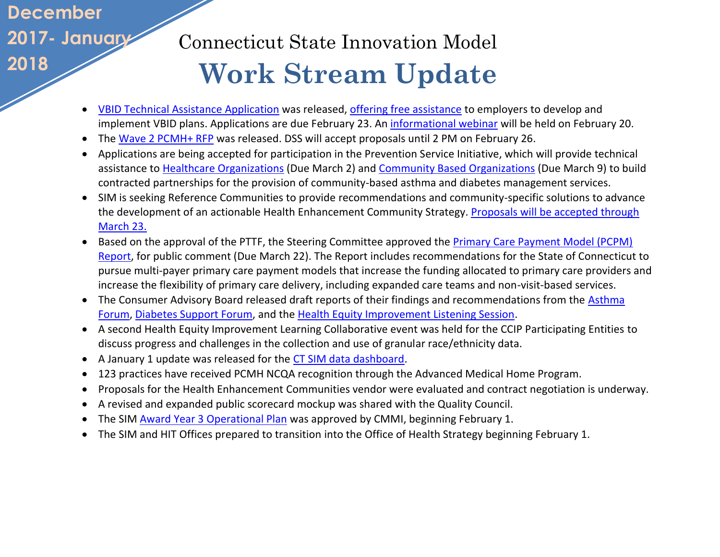## **December 2017- January 2018**

## Connecticut State Innovation Model  **Work Stream Update**

- [VBID Technical Assistance](https://www.surveymonkey.com/r/VBID_App_for_TA) Application was released, [offering free assistance](http://www.healthreform.ct.gov/ohri/lib/ohri/initiatives/vbid/vbid_ta_opportunity_fact_sheet_feb_2018.pdf) to employers to develop and implement VBID plans. Applications are due February 23. An *informational webinar* will be held on February 20.
- The [Wave 2 PCMH+ RFP](https://biznet.ct.gov/SCP_Documents/Bids/45169/Addenda_4-1_RFP.pdf) was released. DSS will accept proposals until 2 PM on February 26.
- Applications are being accepted for participation in the Prevention Service Initiative, which will provide technical assistance to [Healthcare Organizations](https://biznet.ct.gov/SCP_Documents/Bids/45353/PSI_HealthcareOrganization_RFA_1_26_18_FINAL_posted.pdf) (Due March 2) and [Community Based Organizations](https://biznet.ct.gov/SCP_Documents/Bids/45454/Prevention_Service_Initiative_CBOs_RFP_Final.pdf) (Due March 9) to build contracted partnerships for the provision of community-based asthma and diabetes management services.
- SIM is seeking Reference Communities to provide recommendations and community-specific solutions to advance the development of an actionable Health Enhancement Community Strategy. [Proposals will be accepted through](https://biznet.ct.gov/SCP_Documents/Bids/45463/HEC_ReferenceCommunities_RFP_2-6_18_Final.pdf?mc_cid=c92760a8eb&mc_eid=6701488623)  [March 23.](https://biznet.ct.gov/SCP_Documents/Bids/45463/HEC_ReferenceCommunities_RFP_2-6_18_Final.pdf?mc_cid=c92760a8eb&mc_eid=6701488623)
- Based on the approval of the PTTF, the Steering Committee approved the Primary Care Payment Model (PCPM) [Report,](http://www.healthreform.ct.gov/ohri/cwp/view.asp?a=2765&q=336924) for public comment (Due March 22). The Report includes recommendations for the State of Connecticut to pursue multi-payer primary care payment models that increase the funding allocated to primary care providers and increase the flexibility of primary care delivery, including expanded care teams and non-visit-based services.
- The Consumer Advisory Board released draft reports of their findings and recommendations from the **Asthma** [Forum,](http://www.healthreform.ct.gov/ohri/lib/ohri/cab/2018/meeting-01-09/asthma_session_review.pdf) [Diabetes Support Forum,](http://www.healthreform.ct.gov/ohri/lib/ohri/work_groups/consumer_advisory/2017/12-12/review_questions_diabetes_session.pdf) and the [Health Equity Improvement Listening Session.](http://www.healthreform.ct.gov/ohri/lib/ohri/cab/2018/meeting-01-09/outreach_event_session_review.pdf)
- A second Health Equity Improvement Learning Collaborative event was held for the CCIP Participating Entities to discuss progress and challenges in the collection and use of granular race/ethnicity data.
- A January 1 update was released for the [CT SIM data dashboard.](http://www.publichealth.uconn.edu/sim_dash.html?ohriNav=|)
- 123 practices have received PCMH NCQA recognition through the Advanced Medical Home Program.
- Proposals for the Health Enhancement Communities vendor were evaluated and contract negotiation is underway.
- A revised and expanded public scorecard mockup was shared with the Quality Council.
- The SIM [Award Year 3 Operational Plan](http://www.healthreform.ct.gov/ohri/lib/ohri/sim/test_grant_documents/sim_operational_plan_ay3_narrative_1-22-18_revisedfinal_submitted.pdf?mc_cid=8dbffd8ecb&mc_eid=6701488623) was approved by CMMI, beginning February 1.
- The SIM and HIT Offices prepared to transition into the Office of Health Strategy beginning February 1.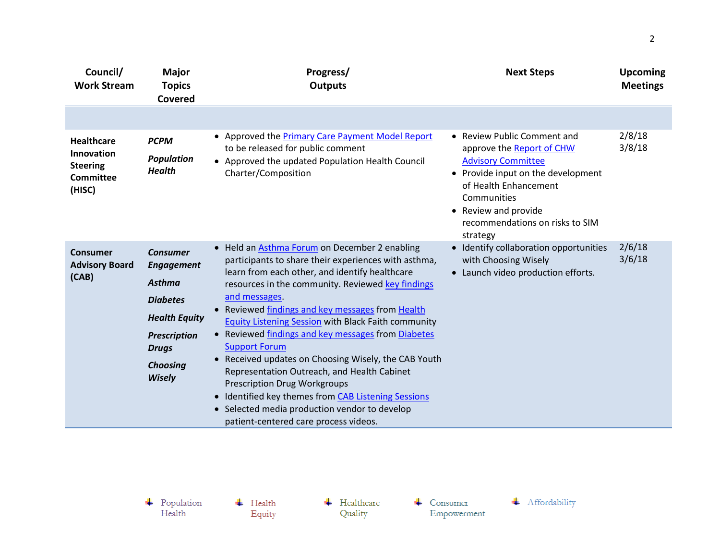| Council/<br><b>Work Stream</b>                                                          | <b>Major</b><br><b>Topics</b><br>Covered                                                                                                                                    | Progress/<br><b>Outputs</b>                                                                                                                                                                                                                                                                                                                                                                                                                                                                                                                                                                                                                                                                                                         | <b>Next Steps</b>                                                                                                                                                                                                                          | <b>Upcoming</b><br><b>Meetings</b> |
|-----------------------------------------------------------------------------------------|-----------------------------------------------------------------------------------------------------------------------------------------------------------------------------|-------------------------------------------------------------------------------------------------------------------------------------------------------------------------------------------------------------------------------------------------------------------------------------------------------------------------------------------------------------------------------------------------------------------------------------------------------------------------------------------------------------------------------------------------------------------------------------------------------------------------------------------------------------------------------------------------------------------------------------|--------------------------------------------------------------------------------------------------------------------------------------------------------------------------------------------------------------------------------------------|------------------------------------|
|                                                                                         |                                                                                                                                                                             |                                                                                                                                                                                                                                                                                                                                                                                                                                                                                                                                                                                                                                                                                                                                     |                                                                                                                                                                                                                                            |                                    |
| <b>Healthcare</b><br><b>Innovation</b><br><b>Steering</b><br><b>Committee</b><br>(HISC) | <b>PCPM</b><br><b>Population</b><br><b>Health</b>                                                                                                                           | • Approved the Primary Care Payment Model Report<br>to be released for public comment<br>• Approved the updated Population Health Council<br>Charter/Composition                                                                                                                                                                                                                                                                                                                                                                                                                                                                                                                                                                    | • Review Public Comment and<br>approve the Report of CHW<br><b>Advisory Committee</b><br>• Provide input on the development<br>of Health Enhancement<br>Communities<br>• Review and provide<br>recommendations on risks to SIM<br>strategy | 2/8/18<br>3/8/18                   |
| Consumer<br><b>Advisory Board</b><br>(CAB)                                              | <b>Consumer</b><br><b>Engagement</b><br><b>Asthma</b><br><b>Diabetes</b><br><b>Health Equity</b><br><b>Prescription</b><br><b>Drugs</b><br><b>Choosing</b><br><b>Wisely</b> | • Held an <b>Asthma Forum</b> on December 2 enabling<br>participants to share their experiences with asthma,<br>learn from each other, and identify healthcare<br>resources in the community. Reviewed key findings<br>and messages.<br>• Reviewed findings and key messages from Health<br><b>Equity Listening Session with Black Faith community</b><br>• Reviewed findings and key messages from Diabetes<br><b>Support Forum</b><br>• Received updates on Choosing Wisely, the CAB Youth<br>Representation Outreach, and Health Cabinet<br><b>Prescription Drug Workgroups</b><br>• Identified key themes from CAB Listening Sessions<br>• Selected media production vendor to develop<br>patient-centered care process videos. | • Identify collaboration opportunities<br>with Choosing Wisely<br>• Launch video production efforts.                                                                                                                                       | 2/6/18<br>3/6/18                   |

 $\begin{array}{c} \text{\textcolor{red}{\textbf{+}}} & \text{Population} \\ \text{Health} \end{array}$ 

 $\leftarrow$  Health Equity  $\leftarrow$  Healthcare Quality

 $\leftarrow$  Consumer Empowerment

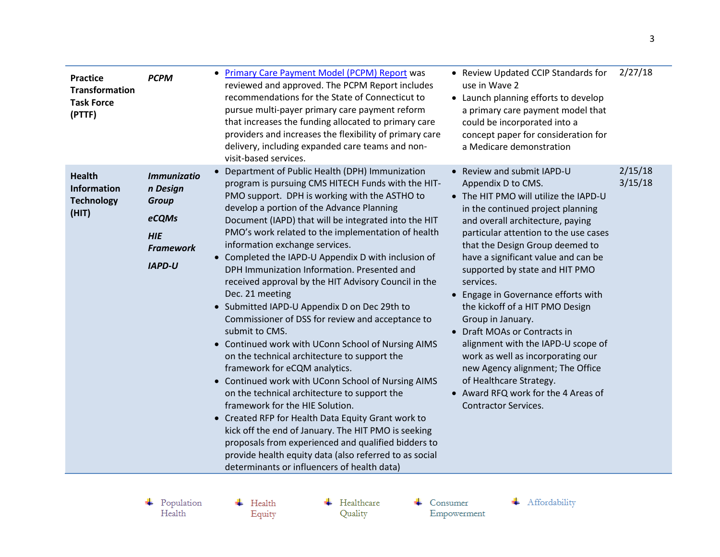| <b>Practice</b><br><b>Transformation</b><br><b>Task Force</b><br>(PTTF) | <b>PCPM</b>                                                                                                | Primary Care Payment Model (PCPM) Report was<br>$\bullet$<br>reviewed and approved. The PCPM Report includes<br>recommendations for the State of Connecticut to<br>pursue multi-payer primary care payment reform<br>that increases the funding allocated to primary care<br>providers and increases the flexibility of primary care<br>delivery, including expanded care teams and non-<br>visit-based services.                                                                                                                                                                                                                                                                                                                                                                                                                                                                                                                                                                                                                                                                                                                                                                                                        | • Review Updated CCIP Standards for<br>use in Wave 2<br>• Launch planning efforts to develop<br>a primary care payment model that<br>could be incorporated into a<br>concept paper for consideration for<br>a Medicare demonstration                                                                                                                                                                                                                                                                                                                                                                                                                                                | 2/27/18            |
|-------------------------------------------------------------------------|------------------------------------------------------------------------------------------------------------|--------------------------------------------------------------------------------------------------------------------------------------------------------------------------------------------------------------------------------------------------------------------------------------------------------------------------------------------------------------------------------------------------------------------------------------------------------------------------------------------------------------------------------------------------------------------------------------------------------------------------------------------------------------------------------------------------------------------------------------------------------------------------------------------------------------------------------------------------------------------------------------------------------------------------------------------------------------------------------------------------------------------------------------------------------------------------------------------------------------------------------------------------------------------------------------------------------------------------|-------------------------------------------------------------------------------------------------------------------------------------------------------------------------------------------------------------------------------------------------------------------------------------------------------------------------------------------------------------------------------------------------------------------------------------------------------------------------------------------------------------------------------------------------------------------------------------------------------------------------------------------------------------------------------------|--------------------|
| <b>Health</b><br><b>Information</b><br><b>Technology</b><br>(HIT)       | <b>Immunizatio</b><br>n Design<br><b>Group</b><br>eCQMs<br><b>HIE</b><br><b>Framework</b><br><b>IAPD-U</b> | • Department of Public Health (DPH) Immunization<br>program is pursuing CMS HITECH Funds with the HIT-<br>PMO support. DPH is working with the ASTHO to<br>develop a portion of the Advance Planning<br>Document (IAPD) that will be integrated into the HIT<br>PMO's work related to the implementation of health<br>information exchange services.<br>• Completed the IAPD-U Appendix D with inclusion of<br>DPH Immunization Information. Presented and<br>received approval by the HIT Advisory Council in the<br>Dec. 21 meeting<br>• Submitted IAPD-U Appendix D on Dec 29th to<br>Commissioner of DSS for review and acceptance to<br>submit to CMS.<br>• Continued work with UConn School of Nursing AIMS<br>on the technical architecture to support the<br>framework for eCQM analytics.<br>• Continued work with UConn School of Nursing AIMS<br>on the technical architecture to support the<br>framework for the HIE Solution.<br>• Created RFP for Health Data Equity Grant work to<br>kick off the end of January. The HIT PMO is seeking<br>proposals from experienced and qualified bidders to<br>provide health equity data (also referred to as social<br>determinants or influencers of health data) | • Review and submit IAPD-U<br>Appendix D to CMS.<br>• The HIT PMO will utilize the IAPD-U<br>in the continued project planning<br>and overall architecture, paying<br>particular attention to the use cases<br>that the Design Group deemed to<br>have a significant value and can be<br>supported by state and HIT PMO<br>services.<br>• Engage in Governance efforts with<br>the kickoff of a HIT PMO Design<br>Group in January.<br>• Draft MOAs or Contracts in<br>alignment with the IAPD-U scope of<br>work as well as incorporating our<br>new Agency alignment; The Office<br>of Healthcare Strategy.<br>• Award RFQ work for the 4 Areas of<br><b>Contractor Services.</b> | 2/15/18<br>3/15/18 |

 $\begin{array}{c} \text{\textcolor{red}{\textbf{+}}} & \text{Population} \\ \text{Health} \end{array}$ 

 $\overline{\phantom{a}}$  Health Equity  $\leftarrow$  Healthcare Quality

 $\leftarrow$  Consumer Empowerment

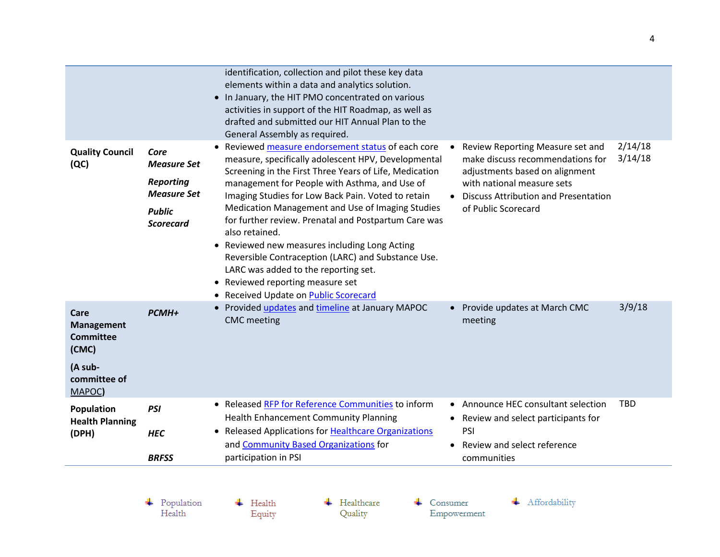|                                                                                             |                                                                                             | identification, collection and pilot these key data<br>elements within a data and analytics solution.<br>• In January, the HIT PMO concentrated on various<br>activities in support of the HIT Roadmap, as well as<br>drafted and submitted our HIT Annual Plan to the<br>General Assembly as required.                                                                                                                                                                                                                                                                                                                               |                                                                                                                                                                                                                                          |  |
|---------------------------------------------------------------------------------------------|---------------------------------------------------------------------------------------------|---------------------------------------------------------------------------------------------------------------------------------------------------------------------------------------------------------------------------------------------------------------------------------------------------------------------------------------------------------------------------------------------------------------------------------------------------------------------------------------------------------------------------------------------------------------------------------------------------------------------------------------|------------------------------------------------------------------------------------------------------------------------------------------------------------------------------------------------------------------------------------------|--|
| <b>Quality Council</b><br>(QC)                                                              | Core<br>Measure Set<br><b>Reporting</b><br><b>Measure Set</b><br><b>Public</b><br>Scorecard | Reviewed measure endorsement status of each core<br>measure, specifically adolescent HPV, Developmental<br>Screening in the First Three Years of Life, Medication<br>management for People with Asthma, and Use of<br>Imaging Studies for Low Back Pain. Voted to retain<br>Medication Management and Use of Imaging Studies<br>for further review. Prenatal and Postpartum Care was<br>also retained.<br>• Reviewed new measures including Long Acting<br>Reversible Contraception (LARC) and Substance Use.<br>LARC was added to the reporting set.<br>• Reviewed reporting measure set<br>Received Update on Public Scorecard<br>٠ | 2/14/18<br>Review Reporting Measure set and<br>$\bullet$<br>3/14/18<br>make discuss recommendations for<br>adjustments based on alignment<br>with national measure sets<br>• Discuss Attribution and Presentation<br>of Public Scorecard |  |
| Care<br><b>Management</b><br><b>Committee</b><br>(CMC)<br>(A sub-<br>committee of<br>MAPOC) | <b>PCMH+</b>                                                                                | • Provided updates and timeline at January MAPOC<br><b>CMC</b> meeting                                                                                                                                                                                                                                                                                                                                                                                                                                                                                                                                                                | 3/9/18<br>• Provide updates at March CMC<br>meeting                                                                                                                                                                                      |  |
| Population<br><b>Health Planning</b><br>(DPH)                                               | <b>PSI</b><br><b>HEC</b><br><b>BRFSS</b>                                                    | • Released RFP for Reference Communities to inform<br>Health Enhancement Community Planning<br>• Released Applications for Healthcare Organizations<br>and Community Based Organizations for<br>participation in PSI                                                                                                                                                                                                                                                                                                                                                                                                                  | <b>TBD</b><br>• Announce HEC consultant selection<br>• Review and select participants for<br>PSI<br>Review and select reference<br>$\bullet$<br>communities                                                                              |  |
|                                                                                             | Population<br>Health                                                                        | Healthcare<br>Health<br>Quality<br>Equity                                                                                                                                                                                                                                                                                                                                                                                                                                                                                                                                                                                             | Affordability<br>Consumer<br>Empowerment                                                                                                                                                                                                 |  |

Equity

 ${\bf Empowerment}$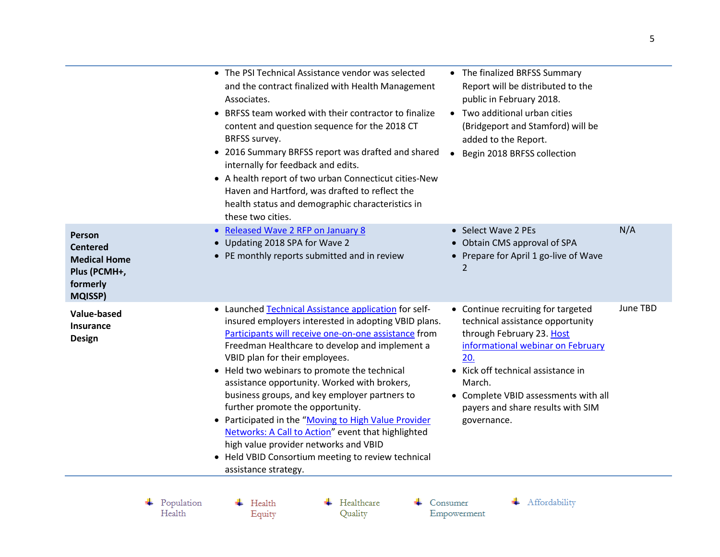|                                                                                                | • The PSI Technical Assistance vendor was selected<br>and the contract finalized with Health Management<br>Associates.<br>• BRFSS team worked with their contractor to finalize<br>content and question sequence for the 2018 CT<br>BRFSS survey.<br>• 2016 Summary BRFSS report was drafted and shared<br>internally for feedback and edits.<br>• A health report of two urban Connecticut cities-New<br>Haven and Hartford, was drafted to reflect the<br>health status and demographic characteristics in<br>these two cities.                                                                                                                                                   | • The finalized BRFSS Summary<br>Report will be distributed to the<br>public in February 2018.<br>Two additional urban cities<br>(Bridgeport and Stamford) will be<br>added to the Report.<br>Begin 2018 BRFSS collection                                                                 |          |
|------------------------------------------------------------------------------------------------|-------------------------------------------------------------------------------------------------------------------------------------------------------------------------------------------------------------------------------------------------------------------------------------------------------------------------------------------------------------------------------------------------------------------------------------------------------------------------------------------------------------------------------------------------------------------------------------------------------------------------------------------------------------------------------------|-------------------------------------------------------------------------------------------------------------------------------------------------------------------------------------------------------------------------------------------------------------------------------------------|----------|
| Person<br><b>Centered</b><br><b>Medical Home</b><br>Plus (PCMH+,<br>formerly<br><b>MQISSP)</b> | • Released Wave 2 RFP on January 8<br>• Updating 2018 SPA for Wave 2<br>• PE monthly reports submitted and in review                                                                                                                                                                                                                                                                                                                                                                                                                                                                                                                                                                | • Select Wave 2 PEs<br>• Obtain CMS approval of SPA<br>• Prepare for April 1 go-live of Wave<br>2                                                                                                                                                                                         | N/A      |
| <b>Value-based</b><br><b>Insurance</b><br><b>Design</b>                                        | • Launched Technical Assistance application for self-<br>insured employers interested in adopting VBID plans.<br>Participants will receive one-on-one assistance from<br>Freedman Healthcare to develop and implement a<br>VBID plan for their employees.<br>• Held two webinars to promote the technical<br>assistance opportunity. Worked with brokers,<br>business groups, and key employer partners to<br>further promote the opportunity.<br>• Participated in the "Moving to High Value Provider<br>Networks: A Call to Action" event that highlighted<br>high value provider networks and VBID<br>• Held VBID Consortium meeting to review technical<br>assistance strategy. | • Continue recruiting for targeted<br>technical assistance opportunity<br>through February 23. Host<br>informational webinar on February<br>20.<br>Kick off technical assistance in<br>March.<br>• Complete VBID assessments with all<br>payers and share results with SIM<br>governance. | June TBD |

 $\begin{array}{c} \text{\textcolor{red}{\textbf{+}}} & \text{Population} \\ \text{Health} \end{array}$ 

 $\leftarrow$  Health Equity  $\leftarrow$  Healthcare Quality

 $\leftarrow$  Consumer Empowerment + Affordability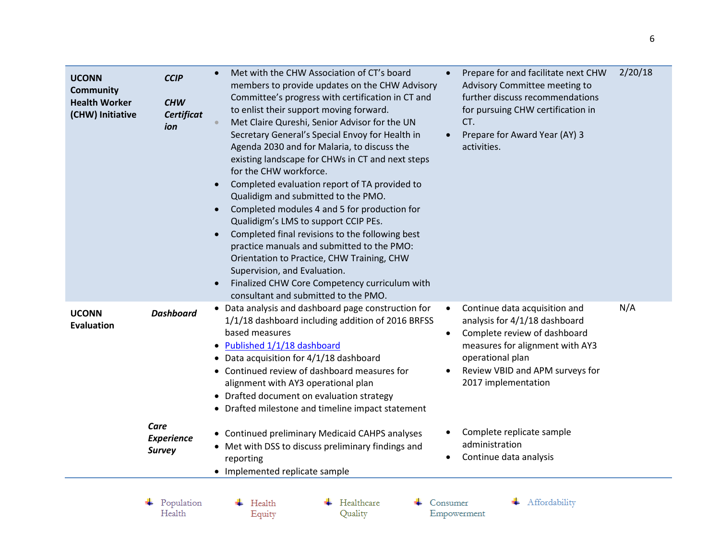| <b>UCONN</b><br><b>Community</b><br><b>Health Worker</b><br>(CHW) Initiative | <b>CCIP</b><br><b>CHW</b><br><b>Certificat</b><br>ion          | 2/20/18<br>Met with the CHW Association of CT's board<br>Prepare for and facilitate next CHW<br>$\bullet$<br>members to provide updates on the CHW Advisory<br>Advisory Committee meeting to<br>further discuss recommendations<br>Committee's progress with certification in CT and<br>to enlist their support moving forward.<br>for pursuing CHW certification in<br>Met Claire Qureshi, Senior Advisor for the UN<br>CT.<br>Secretary General's Special Envoy for Health in<br>Prepare for Award Year (AY) 3<br>$\bullet$<br>Agenda 2030 and for Malaria, to discuss the<br>activities.<br>existing landscape for CHWs in CT and next steps<br>for the CHW workforce.<br>Completed evaluation report of TA provided to<br>$\bullet$<br>Qualidigm and submitted to the PMO.<br>Completed modules 4 and 5 for production for<br>$\bullet$<br>Qualidigm's LMS to support CCIP PEs.<br>Completed final revisions to the following best<br>practice manuals and submitted to the PMO:<br>Orientation to Practice, CHW Training, CHW<br>Supervision, and Evaluation.<br>Finalized CHW Core Competency curriculum with<br>consultant and submitted to the PMO. |
|------------------------------------------------------------------------------|----------------------------------------------------------------|-------------------------------------------------------------------------------------------------------------------------------------------------------------------------------------------------------------------------------------------------------------------------------------------------------------------------------------------------------------------------------------------------------------------------------------------------------------------------------------------------------------------------------------------------------------------------------------------------------------------------------------------------------------------------------------------------------------------------------------------------------------------------------------------------------------------------------------------------------------------------------------------------------------------------------------------------------------------------------------------------------------------------------------------------------------------------------------------------------------------------------------------------------------|
| <b>UCONN</b><br><b>Evaluation</b>                                            | <b>Dashboard</b><br>Care<br><b>Experience</b><br><b>Survey</b> | N/A<br>• Data analysis and dashboard page construction for<br>Continue data acquisition and<br>٠<br>1/1/18 dashboard including addition of 2016 BRFSS<br>analysis for 4/1/18 dashboard<br>based measures<br>Complete review of dashboard<br>$\bullet$<br>Published 1/1/18 dashboard<br>measures for alignment with AY3<br>$\bullet$<br>operational plan<br>• Data acquisition for 4/1/18 dashboard<br>• Continued review of dashboard measures for<br>Review VBID and APM surveys for<br>2017 implementation<br>alignment with AY3 operational plan<br>• Drafted document on evaluation strategy<br>• Drafted milestone and timeline impact statement<br>Complete replicate sample<br>• Continued preliminary Medicaid CAHPS analyses<br>administration<br>• Met with DSS to discuss preliminary findings and<br>Continue data analysis<br>reporting                                                                                                                                                                                                                                                                                                        |
|                                                                              |                                                                | • Implemented replicate sample                                                                                                                                                                                                                                                                                                                                                                                                                                                                                                                                                                                                                                                                                                                                                                                                                                                                                                                                                                                                                                                                                                                              |
|                                                                              | Population<br>Health                                           | Healthcare<br>Affordability<br>Consumer<br>Health<br>Quality<br>Equity<br>Empowerment                                                                                                                                                                                                                                                                                                                                                                                                                                                                                                                                                                                                                                                                                                                                                                                                                                                                                                                                                                                                                                                                       |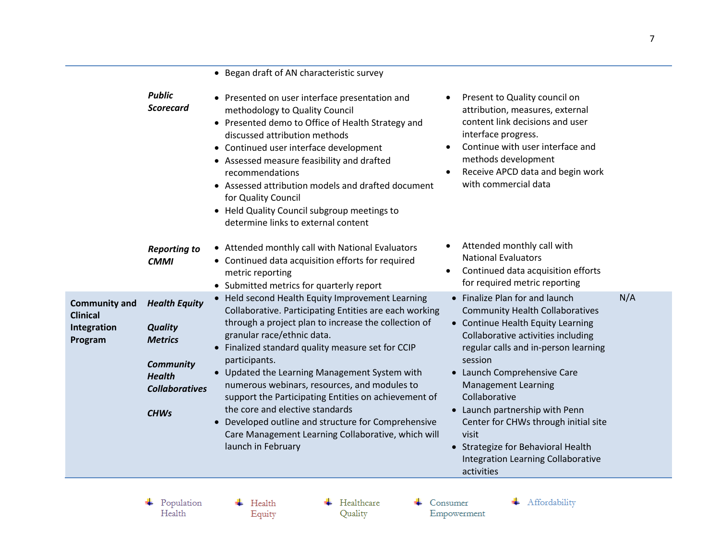|                                                                   |                                                                                                                                       | • Began draft of AN characteristic survey                                                                                                                                                                                                                                                                                                                                                                                                                                                                                                                                                                                                                                                                                                                                                                                                                                                                                                                                                                                                                                |     |
|-------------------------------------------------------------------|---------------------------------------------------------------------------------------------------------------------------------------|--------------------------------------------------------------------------------------------------------------------------------------------------------------------------------------------------------------------------------------------------------------------------------------------------------------------------------------------------------------------------------------------------------------------------------------------------------------------------------------------------------------------------------------------------------------------------------------------------------------------------------------------------------------------------------------------------------------------------------------------------------------------------------------------------------------------------------------------------------------------------------------------------------------------------------------------------------------------------------------------------------------------------------------------------------------------------|-----|
|                                                                   | <b>Public</b><br>Scorecard                                                                                                            | Present to Quality council on<br>• Presented on user interface presentation and<br>attribution, measures, external<br>methodology to Quality Council<br>content link decisions and user<br>• Presented demo to Office of Health Strategy and<br>interface progress.<br>discussed attribution methods<br>Continue with user interface and<br>• Continued user interface development<br>methods development<br>• Assessed measure feasibility and drafted<br>Receive APCD data and begin work<br>recommendations<br>with commercial data<br>• Assessed attribution models and drafted document<br>for Quality Council<br>• Held Quality Council subgroup meetings to<br>determine links to external content                                                                                                                                                                                                                                                                                                                                                                |     |
|                                                                   | <b>Reporting to</b><br><b>CMMI</b>                                                                                                    | Attended monthly call with<br>$\bullet$<br>• Attended monthly call with National Evaluators<br><b>National Evaluators</b><br>• Continued data acquisition efforts for required<br>Continued data acquisition efforts<br>metric reporting<br>for required metric reporting<br>• Submitted metrics for quarterly report                                                                                                                                                                                                                                                                                                                                                                                                                                                                                                                                                                                                                                                                                                                                                    |     |
| <b>Community and</b><br><b>Clinical</b><br>Integration<br>Program | <b>Health Equity</b><br><b>Quality</b><br><b>Metrics</b><br><b>Community</b><br><b>Health</b><br><b>Collaboratives</b><br><b>CHWs</b> | • Finalize Plan for and launch<br>• Held second Health Equity Improvement Learning<br>Collaborative. Participating Entities are each working<br><b>Community Health Collaboratives</b><br>through a project plan to increase the collection of<br>• Continue Health Equity Learning<br>granular race/ethnic data.<br>Collaborative activities including<br>• Finalized standard quality measure set for CCIP<br>regular calls and in-person learning<br>session<br>participants.<br>• Launch Comprehensive Care<br>• Updated the Learning Management System with<br>numerous webinars, resources, and modules to<br><b>Management Learning</b><br>Collaborative<br>support the Participating Entities on achievement of<br>the core and elective standards<br>• Launch partnership with Penn<br>Developed outline and structure for Comprehensive<br>Center for CHWs through initial site<br>visit<br>Care Management Learning Collaborative, which will<br>launch in February<br>• Strategize for Behavioral Health<br>Integration Learning Collaborative<br>activities | N/A |
|                                                                   | Population<br>Health                                                                                                                  | Healthcare<br>Affordability<br>Health<br>Consumer<br>Quality<br>Equity<br>Empowerment                                                                                                                                                                                                                                                                                                                                                                                                                                                                                                                                                                                                                                                                                                                                                                                                                                                                                                                                                                                    |     |

Equity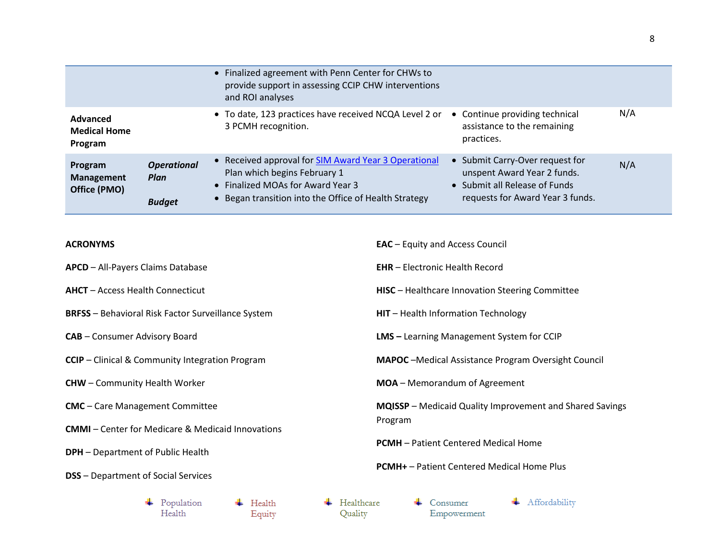|                                              |                                             | • Finalized agreement with Penn Center for CHWs to<br>provide support in assessing CCIP CHW interventions<br>and ROI analyses                                                      |                                                                                                                                     |     |
|----------------------------------------------|---------------------------------------------|------------------------------------------------------------------------------------------------------------------------------------------------------------------------------------|-------------------------------------------------------------------------------------------------------------------------------------|-----|
| Advanced<br><b>Medical Home</b><br>Program   |                                             | • To date, 123 practices have received NCQA Level 2 or<br>3 PCMH recognition.                                                                                                      | • Continue providing technical<br>assistance to the remaining<br>practices.                                                         | N/A |
| Program<br><b>Management</b><br>Office (PMO) | <b>Operational</b><br>Plan<br><b>Budget</b> | • Received approval for SIM Award Year 3 Operational<br>Plan which begins February 1<br>• Finalized MOAs for Award Year 3<br>• Began transition into the Office of Health Strategy | • Submit Carry-Over request for<br>unspent Award Year 2 funds.<br>• Submit all Release of Funds<br>requests for Award Year 3 funds. | N/A |

**EAC** – Equity and Access Council

## **ACRONYMS**

| <b>APCD</b> - All-Payers Claims Database                  |                      |  |                  |  |                                                                                                                    | <b>EHR</b> - Electronic Health Record                       |                         |  |               |
|-----------------------------------------------------------|----------------------|--|------------------|--|--------------------------------------------------------------------------------------------------------------------|-------------------------------------------------------------|-------------------------|--|---------------|
| <b>AHCT</b> - Access Health Connecticut                   |                      |  |                  |  |                                                                                                                    | <b>HISC</b> - Healthcare Innovation Steering Committee      |                         |  |               |
| <b>BRFSS</b> - Behavioral Risk Factor Surveillance System |                      |  |                  |  |                                                                                                                    | HIT - Health Information Technology                         |                         |  |               |
| <b>CAB</b> - Consumer Advisory Board                      |                      |  |                  |  |                                                                                                                    | <b>LMS</b> - Learning Management System for CCIP            |                         |  |               |
| <b>CCIP</b> - Clinical & Community Integration Program    |                      |  |                  |  |                                                                                                                    | <b>MAPOC</b> - Medical Assistance Program Oversight Council |                         |  |               |
| <b>CHW</b> – Community Health Worker                      |                      |  |                  |  |                                                                                                                    | <b>MOA</b> – Memorandum of Agreement                        |                         |  |               |
| <b>CMC</b> - Care Management Committee                    |                      |  |                  |  | MQISSP - Medicaid Quality Improvement and Shared Savings<br>Program<br><b>PCMH</b> – Patient Centered Medical Home |                                                             |                         |  |               |
| <b>CMMI</b> - Center for Medicare & Medicaid Innovations  |                      |  |                  |  |                                                                                                                    |                                                             |                         |  |               |
| <b>DPH</b> - Department of Public Health                  |                      |  |                  |  |                                                                                                                    |                                                             |                         |  |               |
| <b>DSS</b> - Department of Social Services                |                      |  |                  |  |                                                                                                                    | <b>PCMH+</b> – Patient Centered Medical Home Plus           |                         |  |               |
|                                                           | Population<br>Health |  | Health<br>Equity |  | Healthcare<br>Quality                                                                                              |                                                             | Consumer<br>Empowerment |  | Affordability |